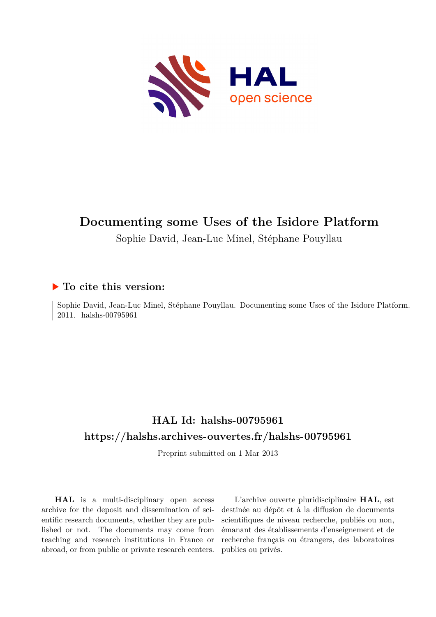

# **Documenting some Uses of the Isidore Platform**

Sophie David, Jean-Luc Minel, Stéphane Pouyllau

# **To cite this version:**

Sophie David, Jean-Luc Minel, Stéphane Pouyllau. Documenting some Uses of the Isidore Platform. 2011. halshs-00795961

# **HAL Id: halshs-00795961 <https://halshs.archives-ouvertes.fr/halshs-00795961>**

Preprint submitted on 1 Mar 2013

**HAL** is a multi-disciplinary open access archive for the deposit and dissemination of scientific research documents, whether they are published or not. The documents may come from teaching and research institutions in France or abroad, or from public or private research centers.

L'archive ouverte pluridisciplinaire **HAL**, est destinée au dépôt et à la diffusion de documents scientifiques de niveau recherche, publiés ou non, émanant des établissements d'enseignement et de recherche français ou étrangers, des laboratoires publics ou privés.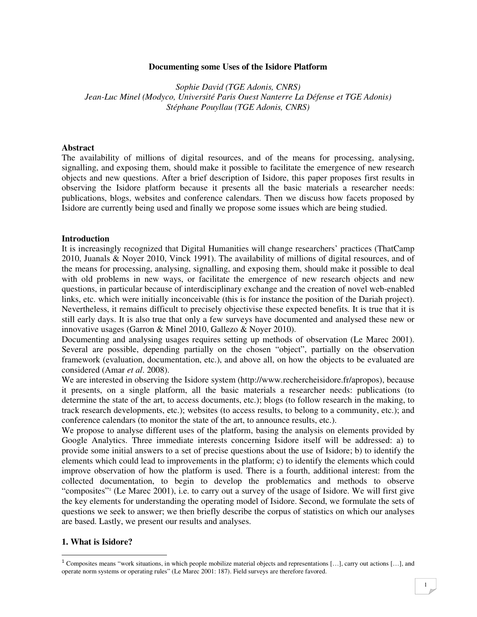#### **Documenting some Uses of the Isidore Platform**

*Sophie David (TGE Adonis, CNRS) Jean-Luc Minel (Modyco, Université Paris Ouest Nanterre La Défense et TGE Adonis) Stéphane Pouyllau (TGE Adonis, CNRS)* 

#### **Abstract**

The availability of millions of digital resources, and of the means for processing, analysing, signalling, and exposing them, should make it possible to facilitate the emergence of new research objects and new questions. After a brief description of Isidore, this paper proposes first results in observing the Isidore platform because it presents all the basic materials a researcher needs: publications, blogs, websites and conference calendars. Then we discuss how facets proposed by Isidore are currently being used and finally we propose some issues which are being studied.

#### **Introduction**

It is increasingly recognized that Digital Humanities will change researchers' practices (ThatCamp 2010, Juanals & Noyer 2010, Vinck 1991). The availability of millions of digital resources, and of the means for processing, analysing, signalling, and exposing them, should make it possible to deal with old problems in new ways, or facilitate the emergence of new research objects and new questions, in particular because of interdisciplinary exchange and the creation of novel web-enabled links, etc. which were initially inconceivable (this is for instance the position of the Dariah project). Nevertheless, it remains difficult to precisely objectivise these expected benefits. It is true that it is still early days. It is also true that only a few surveys have documented and analysed these new or innovative usages (Garron & Minel 2010, Gallezo & Noyer 2010).

Documenting and analysing usages requires setting up methods of observation (Le Marec 2001). Several are possible, depending partially on the chosen "object", partially on the observation framework (evaluation, documentation, etc.), and above all, on how the objects to be evaluated are considered (Amar *et al*. 2008).

We are interested in observing the Isidore system (http://www.rechercheisidore.fr/apropos), because it presents, on a single platform, all the basic materials a researcher needs: publications (to determine the state of the art, to access documents, etc.); blogs (to follow research in the making, to track research developments, etc.); websites (to access results, to belong to a community, etc.); and conference calendars (to monitor the state of the art, to announce results, etc.).

We propose to analyse different uses of the platform, basing the analysis on elements provided by Google Analytics. Three immediate interests concerning Isidore itself will be addressed: a) to provide some initial answers to a set of precise questions about the use of Isidore; b) to identify the elements which could lead to improvements in the platform; c) to identify the elements which could improve observation of how the platform is used. There is a fourth, additional interest: from the collected documentation, to begin to develop the problematics and methods to observe "composites"<sup>1</sup> (Le Marec 2001), i.e. to carry out a survey of the usage of Isidore. We will first give the key elements for understanding the operating model of Isidore. Second, we formulate the sets of questions we seek to answer; we then briefly describe the corpus of statistics on which our analyses are based. Lastly, we present our results and analyses.

#### **1. What is Isidore?**

 $\ddot{\phantom{a}}$ 

<sup>&</sup>lt;sup>1</sup> Composites means "work situations, in which people mobilize material objects and representations [...], carry out actions [...], and operate norm systems or operating rules" (Le Marec 2001: 187). Field surveys are therefore favored.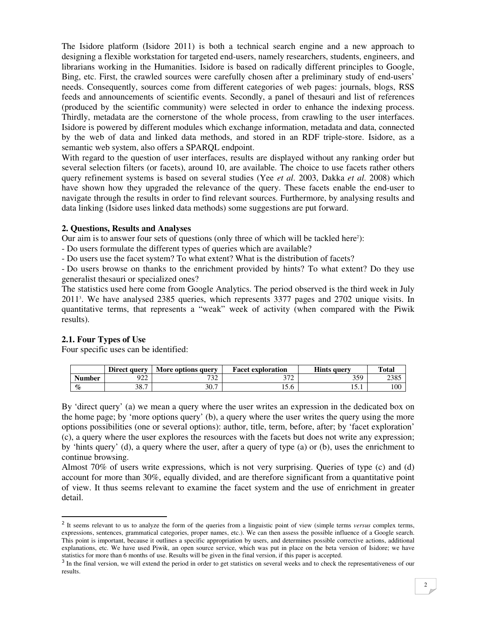The Isidore platform (Isidore 2011) is both a technical search engine and a new approach to designing a flexible workstation for targeted end-users, namely researchers, students, engineers, and librarians working in the Humanities. Isidore is based on radically different principles to Google, Bing, etc. First, the crawled sources were carefully chosen after a preliminary study of end-users' needs. Consequently, sources come from different categories of web pages: journals, blogs, RSS feeds and announcements of scientific events. Secondly, a panel of thesauri and list of references (produced by the scientific community) were selected in order to enhance the indexing process. Thirdly, metadata are the cornerstone of the whole process, from crawling to the user interfaces. Isidore is powered by different modules which exchange information, metadata and data, connected by the web of data and linked data methods, and stored in an RDF triple-store. Isidore, as a semantic web system, also offers a SPARQL endpoint.

With regard to the question of user interfaces, results are displayed without any ranking order but several selection filters (or facets), around 10, are available. The choice to use facets rather others query refinement systems is based on several studies (Yee *et al*. 2003, Dakka *et al*. 2008) which have shown how they upgraded the relevance of the query. These facets enable the end-user to navigate through the results in order to find relevant sources. Furthermore, by analysing results and data linking (Isidore uses linked data methods) some suggestions are put forward.

#### **2. Questions, Results and Analyses**

Our aim is to answer four sets of questions (only three of which will be tackled here<sup>2</sup>):

- Do users formulate the different types of queries which are available?

- Do users use the facet system? To what extent? What is the distribution of facets?

- Do users browse on thanks to the enrichment provided by hints? To what extent? Do they use generalist thesauri or specialized ones?

The statistics used here come from Google Analytics. The period observed is the third week in July 2011<sup>3</sup> . We have analysed 2385 queries, which represents 3377 pages and 2702 unique visits. In quantitative terms, that represents a "weak" week of activity (when compared with the Piwik results).

## **2.1. Four Types of Use**

 $\ddot{\phantom{a}}$ 

Four specific uses can be identified:

|               | Direct query | More options query | <b>Facet exploration</b> | <b>Hints query</b> | <b>Total</b> |
|---------------|--------------|--------------------|--------------------------|--------------------|--------------|
| <b>Number</b> | 922          | 722<br>32          | $\overline{\phantom{a}}$ | 359                | 2385         |
| $\%$          | 38.7         | 30.7               | $\sim$ $\sim$<br>.C.L    | 1 J . 1            | 100          |

By 'direct query' (a) we mean a query where the user writes an expression in the dedicated box on the home page; by 'more options query' (b), a query where the user writes the query using the more options possibilities (one or several options): author, title, term, before, after; by 'facet exploration' (c), a query where the user explores the resources with the facets but does not write any expression; by 'hints query' (d), a query where the user, after a query of type (a) or (b), uses the enrichment to continue browsing.

Almost 70% of users write expressions, which is not very surprising. Queries of type (c) and (d) account for more than 30%, equally divided, and are therefore significant from a quantitative point of view. It thus seems relevant to examine the facet system and the use of enrichment in greater detail.

<sup>&</sup>lt;sup>2</sup> It seems relevant to us to analyze the form of the queries from a linguistic point of view (simple terms *versus* complex terms, expressions, sentences, grammatical categories, proper names, etc.). We can then assess the possible influence of a Google search. This point is important, because it outlines a specific appropriation by users, and determines possible corrective actions, additional explanations, etc. We have used Piwik, an open source service, which was put in place on the beta version of Isidore; we have

statistics for more than 6 months of use. Results will be given in the final version, if this paper is accepted.<br><sup>3</sup> In the final version, we will extend the period in order to get statistics on several weeks and to check results.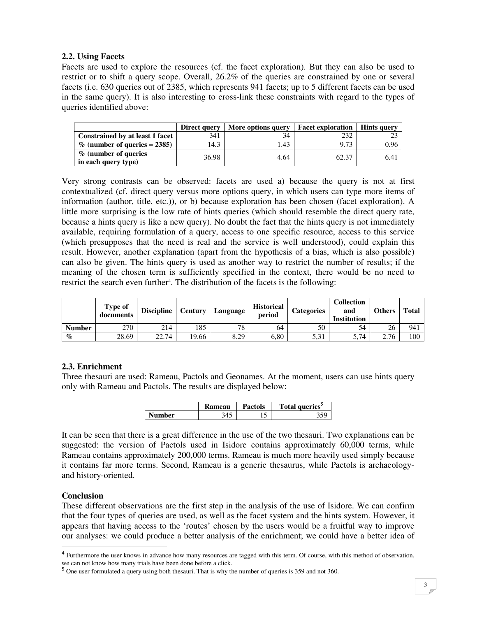## **2.2. Using Facets**

Facets are used to explore the resources (cf. the facet exploration). But they can also be used to restrict or to shift a query scope. Overall, 26.2% of the queries are constrained by one or several facets (i.e. 630 queries out of 2385, which represents 941 facets; up to 5 different facets can be used in the same query). It is also interesting to cross-link these constraints with regard to the types of queries identified above:

|                                             | Direct query | More options query | <b>Facet exploration</b> | <b>Hints query</b> |
|---------------------------------------------|--------------|--------------------|--------------------------|--------------------|
| Constrained by at least 1 facet             | 341          | 34                 | 232                      |                    |
| $\%$ (number of queries = 2385)             | 14.3         | .43                | 9.73                     | 0.96               |
| % (number of queries<br>in each query type) | 36.98        | 4.64               | 62.37                    | 6.41               |

Very strong contrasts can be observed: facets are used a) because the query is not at first contextualized (cf. direct query versus more options query, in which users can type more items of information (author, title, etc.)), or b) because exploration has been chosen (facet exploration). A little more surprising is the low rate of hints queries (which should resemble the direct query rate, because a hints query is like a new query). No doubt the fact that the hints query is not immediately available, requiring formulation of a query, access to one specific resource, access to this service (which presupposes that the need is real and the service is well understood), could explain this result. However, another explanation (apart from the hypothesis of a bias, which is also possible) can also be given. The hints query is used as another way to restrict the number of results; if the meaning of the chosen term is sufficiently specified in the context, there would be no need to restrict the search even further<sup>4</sup>. The distribution of the facets is the following:

|               | Type of<br>documents | <b>Discipline</b> | Century | Language | <b>Historical</b><br>period | <b>Categories</b> | Collection<br>and<br><b>Institution</b> | <b>Others</b> | <b>Total</b> |
|---------------|----------------------|-------------------|---------|----------|-----------------------------|-------------------|-----------------------------------------|---------------|--------------|
| <b>Number</b> | 270                  | 214               | 185     | 78       | 64                          | 50                | 54                                      | 26            | 941          |
| $\%$          | 28.69                | 22.74             | 19.66   | 8.29     | 6,80                        | 5,31              | 5,74                                    | 2.76          | 100          |

# **2.3. Enrichment**

Three thesauri are used: Rameau, Pactols and Geonames. At the moment, users can use hints query only with Rameau and Pactols. The results are displayed below:

|        | <b>Rameau</b> | <b>Pactols</b> | Total queries <sup>3</sup> |
|--------|---------------|----------------|----------------------------|
| Number |               | ◡              |                            |

It can be seen that there is a great difference in the use of the two thesauri. Two explanations can be suggested: the version of Pactols used in Isidore contains approximately 60,000 terms, while Rameau contains approximately 200,000 terms. Rameau is much more heavily used simply because it contains far more terms. Second, Rameau is a generic thesaurus, while Pactols is archaeologyand history-oriented.

## **Conclusion**

 $\ddot{\phantom{a}}$ 

These different observations are the first step in the analysis of the use of Isidore. We can confirm that the four types of queries are used, as well as the facet system and the hints system. However, it appears that having access to the 'routes' chosen by the users would be a fruitful way to improve our analyses: we could produce a better analysis of the enrichment; we could have a better idea of

<sup>&</sup>lt;sup>4</sup> Furthermore the user knows in advance how many resources are tagged with this term. Of course, with this method of observation,

we can not know how many trials have been done before a click.<br><sup>5</sup> One user formulated a query using both thesauri. That is why the number of queries is 359 and not 360.